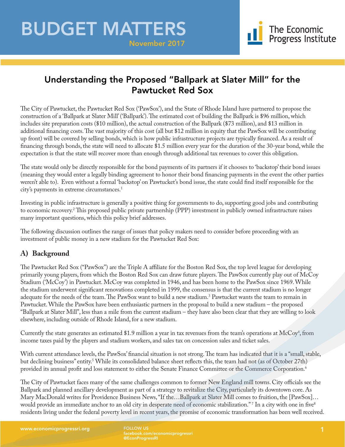November 2017

## Understanding the Proposed "Ballpark at Slater Mill" for the Pawtucket Red Sox

The City of Pawtucket, the Pawtucket Red Sox ('PawSox'), and the State of Rhode Island have partnered to propose the construction of a 'Ballpark at Slater Mill' ('Ballpark'). The estimated cost of building the Ballpark is \$96 million, which includes site preparation costs (\$10 million), the actual construction of the Ballpark (\$73 million), and \$13 million in additional financing costs. The vast majority of this cost (all but \$12 million in equity that the PawSox will be contributing up front) will be covered by selling bonds, which is how public infrastructure projects are typically financed. As a result of financing through bonds, the state will need to allocate \$1.5 million every year for the duration of the 30-year bond, while the expectation is that the state will recover more than enough through additional tax revenues to cover this obligation.

The state would only be directly responsible for the bond payments of its partners if it chooses to 'backstop' their bond issues (meaning they would enter a legally binding agreement to honor their bond financing payments in the event the other parties weren't able to). Even without a formal 'backstop' on Pawtucket's bond issue, the state could find itself responsible for the city's payments in extreme circumstances.<sup>1</sup>

Investing in public infrastructure is generally a positive thing for governments to do, supporting good jobs and contributing to economic recovery.2 This proposed public private partnership (PPP) investment in publicly owned infrastructure raises many important questions, which this policy brief addresses.

The following discussion outlines the range of issues that policy makers need to consider before proceeding with an investment of public money in a new stadium for the Pawtucket Red Sox:

## **A) Background**

The Pawtucket Red Sox ("PawSox") are the Triple A affiliate for the Boston Red Sox, the top level league for developing primarily young players, from which the Boston Red Sox can draw future players. The PawSox currently play out of McCoy Stadium ('McCoy') in Pawtucket. McCoy was completed in 1946, and has been home to the PawSox since 1969. While the stadium underwent significant renovations completed in 1999, the consensus is that the current stadium is no longer adequate for the needs of the team. The PawSox want to build a new stadium.<sup>3</sup> Pawtucket wants the team to remain in Pawtucket. While the PawSox have been enthusiastic partners in the proposal to build a new stadium – the proposed "Ballpark at Slater Mill", less than a mile from the current stadium – they have also been clear that they are willing to look elsewhere, including outside of Rhode Island, for a new stadium.

Currently the state generates an estimated \$1.9 million a year in tax revenues from the team's operations at  $\rm{McCoy^4},$  from income taxes paid by the players and stadium workers, and sales tax on concession sales and ticket sales.

With current attendance levels, the PawSox' financial situation is not strong. The team has indicated that it is a "small, stable, but declining business" entity.<sup>5</sup> While its consolidated balance sheet reflects this, the team had not (as of October 27th) provided its annual profit and loss statement to either the Senate Finance Committee or the Commerce Corporation.<sup>6</sup>

The City of Pawtucket faces many of the same challenges common to former New England mill towns. City officials see the Ballpark and planned ancillary development as part of a strategy to revitalize the City, particularly its downtown core. As Mary MacDonald writes for Providence Business News, "If the…Ballpark at Slater Mill comes to fruition, the [PawSox]… would provide an immediate anchor to an old city in desperate need of economic stabilization." In a city with one in five $^{\mathrm{s}}$ residents living under the federal poverty level in recent years, the promise of economic transformation has been well received.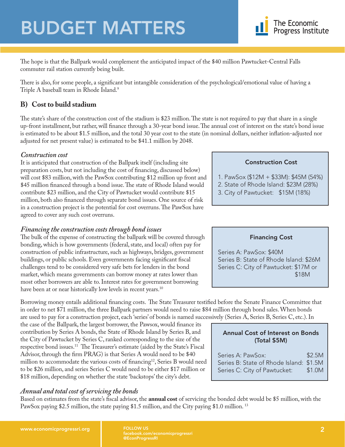

The hope is that the Ballpark would complement the anticipated impact of the \$40 million Pawtucket-Central Falls commuter rail station currently being built.

There is also, for some people, a significant but intangible consideration of the psychological/emotional value of having a Triple A baseball team in Rhode Island.<sup>9</sup>

### **B) Cost to build stadium**

The state's share of the construction cost of the stadium is \$23 million. The state is not required to pay that share in a single up-front installment, but rather, will finance through a 30-year bond issue. The annual cost of interest on the state's bond issue is estimated to be about \$1.5 million, and the total 30 year cost to the state (in nominal dollars, neither inflation-adjusted nor adjusted for net present value) is estimated to be \$41.1 million by 2048.

#### *Construction cost*

It is anticipated that construction of the Ballpark itself (including site preparation costs, but not including the cost of financing, discussed below) will cost \$83 million, with the PawSox contributing \$12 million up front and \$45 million financed through a bond issue. The state of Rhode Island would contribute \$23 million, and the City of Pawtucket would contribute \$15 million, both also financed through separate bond issues. One source of risk in a construction project is the potential for cost overruns. The PawSox have agreed to cover any such cost overruns.

### *Financing the construction costs through bond issues*

The bulk of the expense of constructing the ballpark will be covered through bonding, which is how governments (federal, state, and local) often pay for construction of public infrastructure, such as highways, bridges, government buildings, or public schools. Even governments facing significant fiscal challenges tend to be considered very safe bets for lenders in the bond market, which means governments can borrow money at rates lower than most other borrowers are able to. Interest rates for government borrowing have been at or near historically low levels in recent years.<sup>10</sup>

Borrowing money entails additional financing costs. The State Treasurer testified before the Senate Finance Committee that in order to net \$71 million, the three Ballpark partners would need to raise \$84 million through bond sales. When bonds are used to pay for a construction project, each 'series' of bonds is named successively (Series A, Series B, Series C, etc.). In

the case of the Ballpark, the largest borrower, the Pawsox, would finance its contribution by Series A bonds, the State of Rhode Island by Series B, and the City of Pawtucket by Series C, ranked corresponding to the size of the respective bond issues.11 The Treasurer's estimate (aided by the State's Fiscal Advisor, through the firm PRAG) is that Series A would need to be \$40 million to accommodate the various costs of financing<sup>12</sup>, Series B would need to be \$26 million, and series Series C would need to be either \$17 million or \$18 million, depending on whether the state 'backstops' the city's debt.

### *Annual and total cost of servicing the bonds*

Based on estimates from the state's fiscal advisor, the **annual cost** of servicing the bonded debt would be \$5 million, with the PawSox paying \$2.5 million, the state paying \$1.5 million, and the City paying \$1.0 million.<sup>13</sup>

#### Construction Cost

- 1. PawSox (\$12M + \$33M): \$45M (54%)
- 2. State of Rhode Island: \$23M (28%)
- 3. City of Pawtucket: \$15M (18%)

#### Financing Cost

Series A: PawSox: \$40M Series B: State of Rhode Island: \$26M Series C: City of Pawtucket: \$17M or \$18M

Annual Cost of Interest on Bonds (Total \$5M)

Series A: PawSox: \$2.5M Series B: State of Rhode Island: \$1.5M Series C: City of Pawtucket: \$1.0M

facebook.com/economicprogressri @EconProgressRI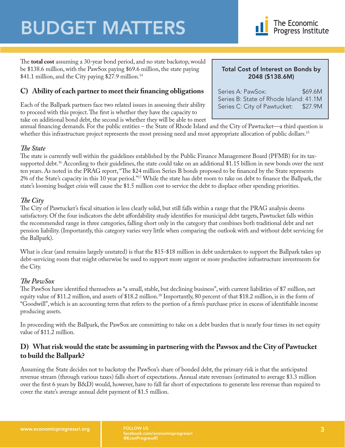

The **total cost** assuming a 30-year bond period, and no state backstop, would be \$138.6 million, with the PawSox paying \$69.6 million, the state paying \$41.1 million, and the City paying \$27.9 million.<sup>14</sup>

## **C) Ability of each partner to meet their financing obligations**

Each of the Ballpark partners face two related issues in assessing their ability to proceed with this project. The first is whether they have the capacity to take on additional bond debt, the second is whether they will be able to meet Total Cost of Interest on Bonds by 2048 (\$138.6M)

Series A: PawSox: \$69.6M Series B: State of Rhode Island: 41.1M Series C: City of Pawtucket: \$27.9M

annual financing demands. For the public entities – the State of Rhode Island and the City of Pawtucket—a third question is whether this infrastructure project represents the most pressing need and most appropriate allocation of public dollars.<sup>15</sup>

#### *The State*

The state is currently well within the guidelines established by the Public Finance Management Board (PFMB) for its taxsupported debt.<sup>16</sup> According to their guidelines, the state could take on an additional \$1.15 billion in new bonds over the next ten years. As noted in the PRAG report, "The \$24 million Series B bonds proposed to be financed by the State represents 2% of the State's capacity in this 10 year period."17 While the state has debt room to take on debt to finance the Ballpark, the state's looming budget crisis will cause the \$1.5 million cost to service the debt to displace other spending priorities.

#### *The City*

The City of Pawtucket's fiscal situation is less clearly solid, but still falls within a range that the PRAG analysis deems satisfactory. Of the four indicators the debt affordability study identifies for municipal debt targets, Pawtucket falls within the recommended range in three categories, falling short only in the category that combines both traditional debt and net pension liability. (Importantly, this category varies very little when comparing the outlook with and without debt servicing for the Ballpark).

What is clear (and remains largely unstated) is that the \$15-\$18 million in debt undertaken to support the Ballpark takes up debt-servicing room that might otherwise be used to support more urgent or more productive infrastructure investments for the City.

#### *The PawSox*

The PawSox have identified themselves as "a small, stable, but declining business", with current liabilities of \$7 million, net equity value of \$11.2 million, and assets of \$18.2 million.<sup>18</sup> Importantly, 80 percent of that \$18.2 million, is in the form of "Goodwill", which is an accounting term that refers to the portion of a firm's purchase price in excess of identifiable income producing assets.

In proceeding with the Ballpark, the PawSox are committing to take on a debt burden that is nearly four times its net equity value of \$11.2 million.

#### **D) What risk would the state be assuming in partnering with the Pawsox and the City of Pawtucket to build the Ballpark?**

Assuming the State decides not to backstop the PawSox's share of bonded debt, the primary risk is that the anticipated revenue stream (through various taxes) falls short of expectations. Annual state revenues (estimated to average \$3.3 million over the first 6 years by B&D) would, however, have to fall far short of expectations to generate less revenue than required to cover the state's average annual debt payment of \$1.5 million.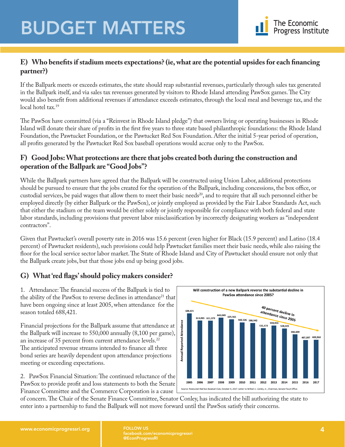

### **E) Who benefits if stadium meets expectations? (ie, what are the potential upsides for each financing partner?)**

If the Ballpark meets or exceeds estimates, the state should reap substantial revenues, particularly through sales tax generated in the Ballpark itself, and via sales tax revenues generated by visitors to Rhode Island attending PawSox games. The City would also benefit from additional revenues if attendance exceeds estimates, through the local meal and beverage tax, and the local hotel tax.<sup>19</sup>

The PawSox have committed (via a "Reinvest in Rhode Island pledge") that owners living or operating businesses in Rhode Island will donate their share of profits in the first five years to three state based philanthropic foundations: the Rhode Island Foundation, the Pawtucket Foundation, or the Pawtucket Red Sox Foundation. After the initial 5-year period of operation, all profits generated by the Pawtucket Red Sox baseball operations would accrue only to the PawSox.

### **F) Good Jobs: What protections are there that jobs created both during the construction and operation of the Ballpark are "Good Jobs"?**

While the Ballpark partners have agreed that the Ballpark will be constructed using Union Labor, additional protections should be pursued to ensure that the jobs created for the operation of the Ballpark, including concessions, the box office, or custodial services, be paid wages that allow them to meet their basic needs<sup>20</sup>, and to require that all such personnel either be employed directly (by either Ballpark or the PawSox), or jointly employed as provided by the Fair Labor Standards Act, such that either the stadium or the team would be either solely or jointly responsible for compliance with both federal and state labor standards, including provisions that prevent labor misclassification by incorrectly designating workers as "independent contractors".

Given that Pawtucket's overall poverty rate in 2016 was 15.6 percent (even higher for Black (15.9 percent) and Latino (18.4 percent) of Pawtucket residents), such provisions could help Pawtucket families meet their basic needs, while also raising the floor for the local service sector labor market. The State of Rhode Island and City of Pawtucket should ensure not only that the Ballpark create jobs, but that those jobs end up being good jobs.

## **G) What 'red flags' should policy makers consider?**

1. Attendance: The financial success of the Ballpark is tied to the ability of the PawSox to reverse declines in attendance<sup>21</sup> that have been ongoing since at least 2005, when attendance for the season totaled 688,421.

Financial projections for the Ballpark assume that attendance at the Ballpark will increase to 550,000 annually (8,100 per game), an increase of 35 percent from current attendance levels.<sup>22</sup> The anticipated revenue streams intended to finance all three bond series are heavily dependent upon attendance projections meeting or exceeding expectations.

2. PawSox Financial Situation: The continued reluctance of the PawSox to provide profit and loss statements to both the Senate Finance Committee and the Commerce Corporation is a cause



of concern. The Chair of the Senate Finance Committee, Senator Conley, has indicated the bill authorizing the state to enter into a partnership to fund the Ballpark will not move forward until the PawSox satisfy their concerns.